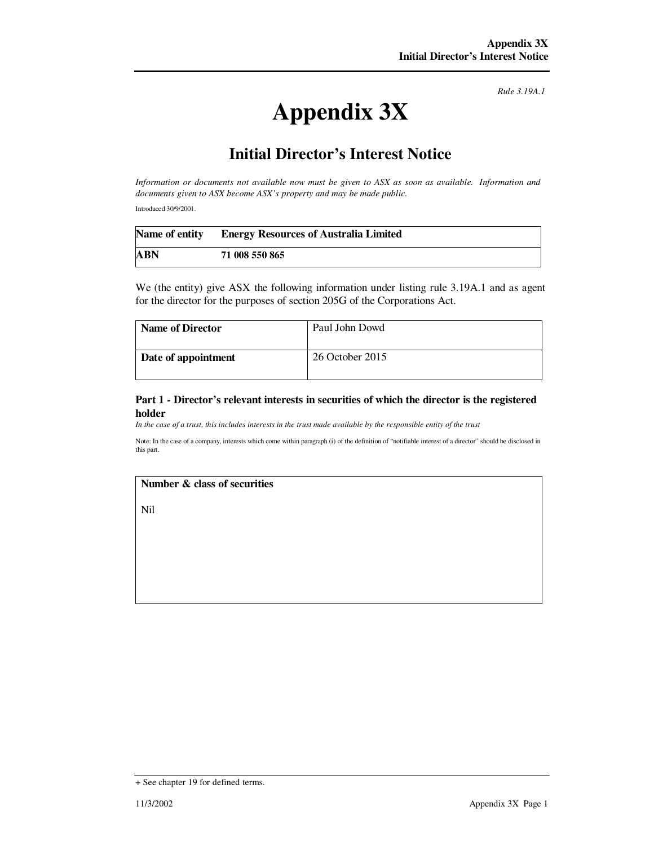*Rule 3.19A.1*

# **Appendix 3X**

# **Initial Director's Interest Notice**

*Information or documents not available now must be given to ASX as soon as available. Information and documents given to ASX become ASX's property and may be made public.* 

Introduced 30/9/2001.

|     | Name of entity Energy Resources of Australia Limited |
|-----|------------------------------------------------------|
| ABN | 71 008 550 865                                       |

We (the entity) give ASX the following information under listing rule 3.19A.1 and as agent for the director for the purposes of section 205G of the Corporations Act.

| <b>Name of Director</b> | Paul John Dowd  |
|-------------------------|-----------------|
| Date of appointment     | 26 October 2015 |

#### **Part 1 - Director's relevant interests in securities of which the director is the registered holder**

*In the case of a trust, this includes interests in the trust made available by the responsible entity of the trust*

Note: In the case of a company, interests which come within paragraph (i) of the definition of "notifiable interest of a director" should be disclosed in this part.

## **Number & class of securities**

Nil

<sup>+</sup> See chapter 19 for defined terms.